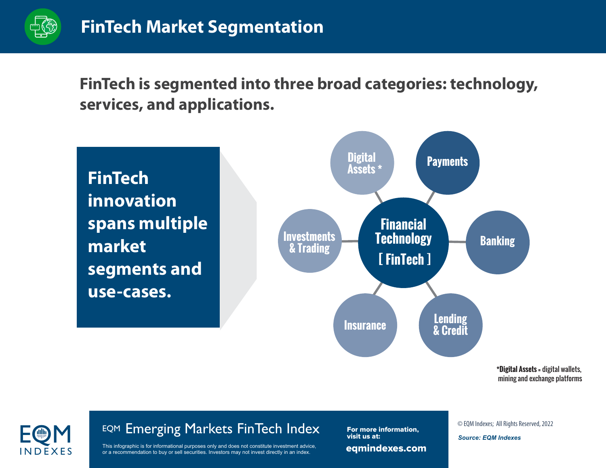

**FinTech is segmented into three broad categories: technology, services, and applications.** 

**FinTech innovation spans multiple market segments and use-cases.**



**\*Digital Assets =** digital wallets, mining and exchange platforms

# I N D E X E S

## EQM Emerging Markets FinTech Index<br>
This infographic is for informational purposes only and does not constitute investment advice,<br>
This infographic is for informational purposes only and does not constitute investment adv

This infographic is for informational purposes only and does not constitute investment advice, or a recommendation to buy or sell securities. Investors may not invest directly in an index.

eqmindexes.com For more information, visit us at:

*Source: EQM Indexes*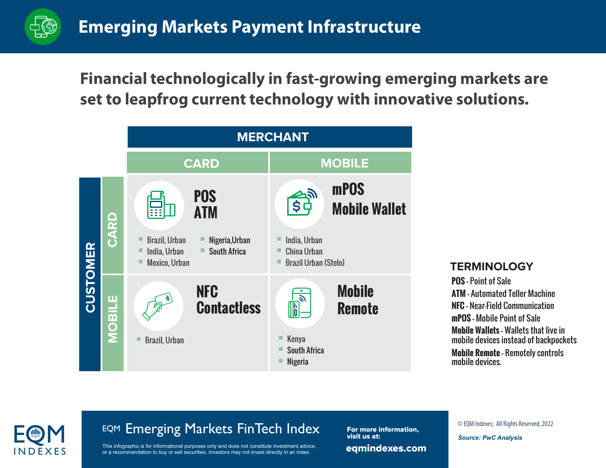

#### **Financial technologically in fast-growing emerging markets are set to leapfrog current technology with innovative solutions.**



#### **TERMINOLOGY**

**POS -** Point of Sale **ATM -** Automated Teller Machine **NFC -** Near-Field Communication **mPOS -** Mobile Point of Sale **Mobile Wallets -** Wallets that live in

mobile devices instead of backpockets

**Mobile Remote -** Remotely controls mobile devices.

# I N D E X E S

## EQM Emerging Markets FinTech Index<br>
This infographic is for informational purposes only and does not constitute investment advice,<br>
This infographic is for informational purposes only and does not constitute investment adv

This infographic is for informational purposes only and does not constitute investment advice, or a recommendation to buy or sell securities. Investors may not invest directly in an index.

eqmindexes.com For more information, visit us at:

*Source: PwC Analysis*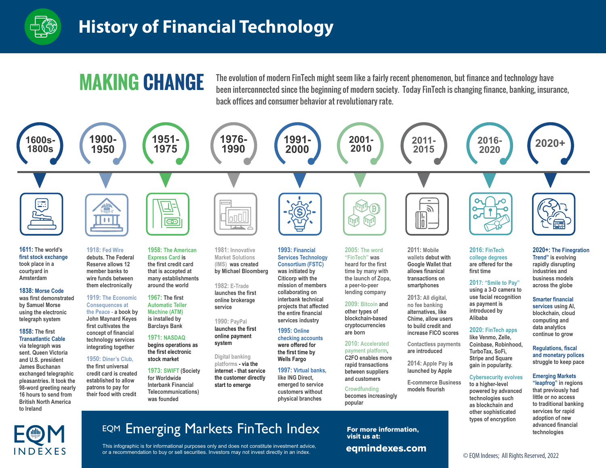

### **History of Financial Technology**

**MAKING CHANGE** The evolution of modern FinTech might seem like a fairly recent phenomenon, but finance and technology have<br>been interconnected since the beginning of modern society. Today FinTech is changing finance, bank back offices and consumer behavior at revolutionary rate.



#### EQM I N D E X E S

**to Ireland**

EQM Emerging Markets FinTech Index

This infographic is for informational purposes only and does not constitute investment advice, or a recommendation to buy or sell securities. Investors may not invest directly in an index.

**popular**

eqmindexes.com For more information, visit us at:

**as blockchain and other sophisticated types of encryption**

© EQM Indexes; All Rights Reserved, 2022

**to traditional banking services for rapid adoption of new advanced financial technologies**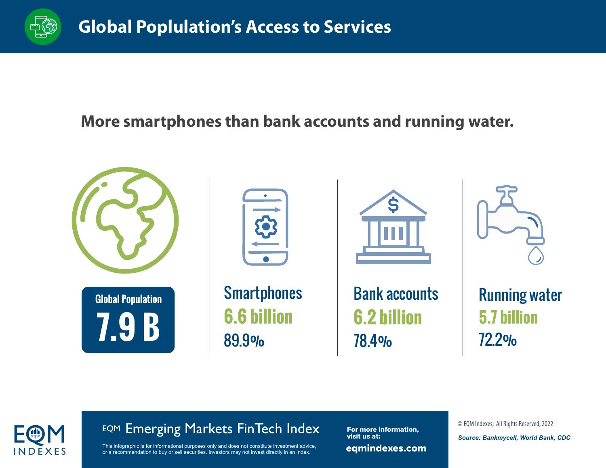

#### **More smartphones than bank accounts and running water.**





## EQM Emerging Markets FinTech Index<br>
This infographic is for informational purposes only and does not constitute investment advice,<br>
This infographic is for informational purposes only and does not constitute investment adv

This infographic is for informational purposes only and does not constitute investment advice, or a recommendation to buy or sell securities. Investors may not invest directly in an index.

eqmindexes.com For more information, visit us at:

*Source: Bankmycell, World Bank, CDC*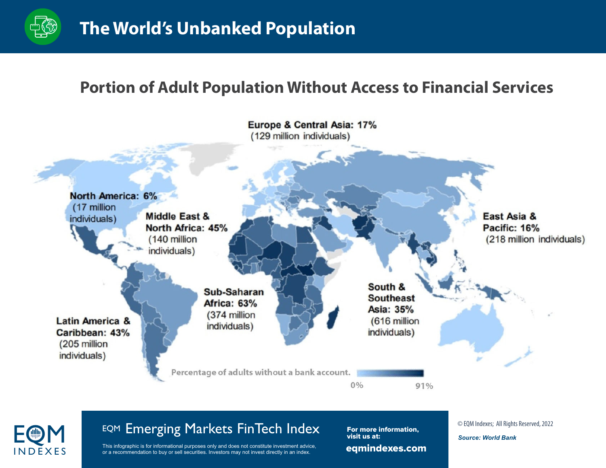

#### **Portion of Adult Population Without Access to Financial Services**





## EQM Emerging Markets FinTech Index<br>
This infographic is for informational purposes only and does not constitute investment advice,<br>
This infographic is for informational purposes only and does not constitute investment adv

This infographic is for informational purposes only and does not constitute investment advice, or a recommendation to buy or sell securities. Investors may not invest directly in an index.

eqmindexes.com For more information, visit us at:

*Source: World Bank*